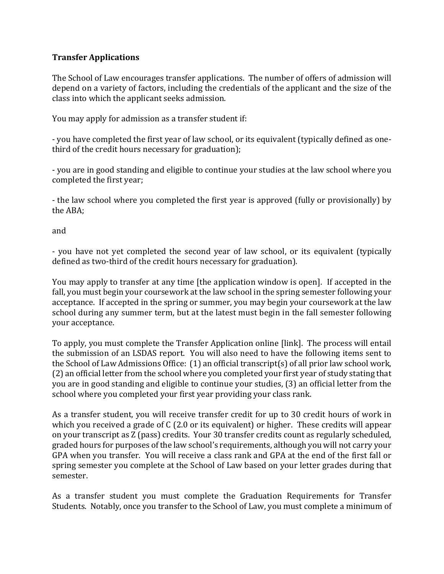## **Transfer Applications**

The School of Law encourages transfer applications. The number of offers of admission will depend on a variety of factors, including the credentials of the applicant and the size of the class into which the applicant seeks admission.

You may apply for admission as a transfer student if:

- you have completed the first year of law school, or its equivalent (typically defined as onethird of the credit hours necessary for graduation);

- you are in good standing and eligible to continue your studies at the law school where you completed the first year;

- the law school where you completed the first year is approved (fully or provisionally) by the ABA;

and

- you have not yet completed the second year of law school, or its equivalent (typically defined as two-third of the credit hours necessary for graduation).

You may apply to transfer at any time [the application window is open]. If accepted in the fall, you must begin your coursework at the law school in the spring semester following your acceptance. If accepted in the spring or summer, you may begin your coursework at the law school during any summer term, but at the latest must begin in the fall semester following your acceptance.

To apply, you must complete the Transfer Application online [link]. The process will entail the submission of an LSDAS report. You will also need to have the following items sent to the School of Law Admissions Office: (1) an official transcript(s) of all prior law school work, (2) an official letter from the school where you completed your first year of study stating that you are in good standing and eligible to continue your studies, (3) an official letter from the school where you completed your first year providing your class rank.

As a transfer student, you will receive transfer credit for up to 30 credit hours of work in which you received a grade of C (2.0 or its equivalent) or higher. These credits will appear on your transcript as Z (pass) credits. Your 30 transfer credits count as regularly scheduled, graded hours for purposes of the law school's requirements, although you will not carry your GPA when you transfer. You will receive a class rank and GPA at the end of the first fall or spring semester you complete at the School of Law based on your letter grades during that semester.

As a transfer student you must complete the Graduation Requirements for Transfer Students. Notably, once you transfer to the School of Law, you must complete a minimum of